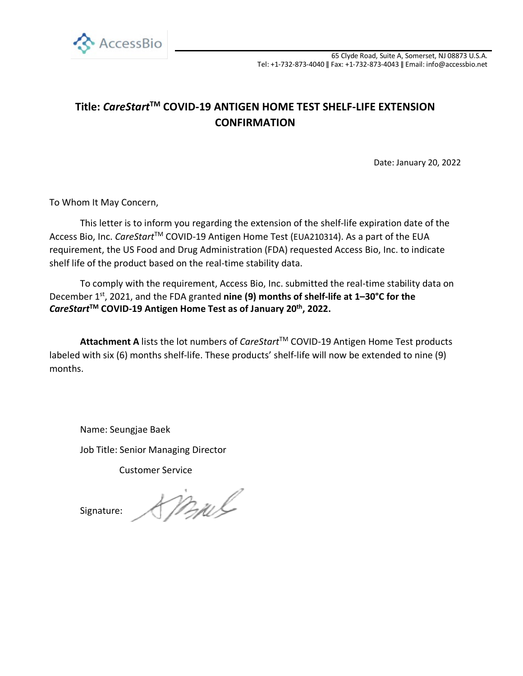

## **Title:** *CareStart***TM COVID-19 ANTIGEN HOME TEST SHELF-LIFE EXTENSION CONFIRMATION**

Date: January 20, 2022

To Whom It May Concern,

This letter is to inform you regarding the extension of the shelf-life expiration date of the Access Bio, Inc. *CareStart*TM COVID-19 Antigen Home Test (EUA210314). As a part of the EUA requirement, the US Food and Drug Administration (FDA) requested Access Bio, Inc. to indicate shelf life of the product based on the real-time stability data.

To comply with the requirement, Access Bio, Inc. submitted the real-time stability data on December 1<sup>st</sup>, 2021, and the FDA granted **nine (9) months of shelf-life at 1–30°C for the** *CareStart***TM COVID-19 Antigen Home Test as of January 20th, 2022.**

Attachment A lists the lot numbers of *CareStart*™ COVID-19 Antigen Home Test products labeled with six (6) months shelf-life. These products' shelf-life will now be extended to nine (9) months.

Name: Seungjae Baek

Job Title: Senior Managing Director

Customer Service

Signature:

Mul